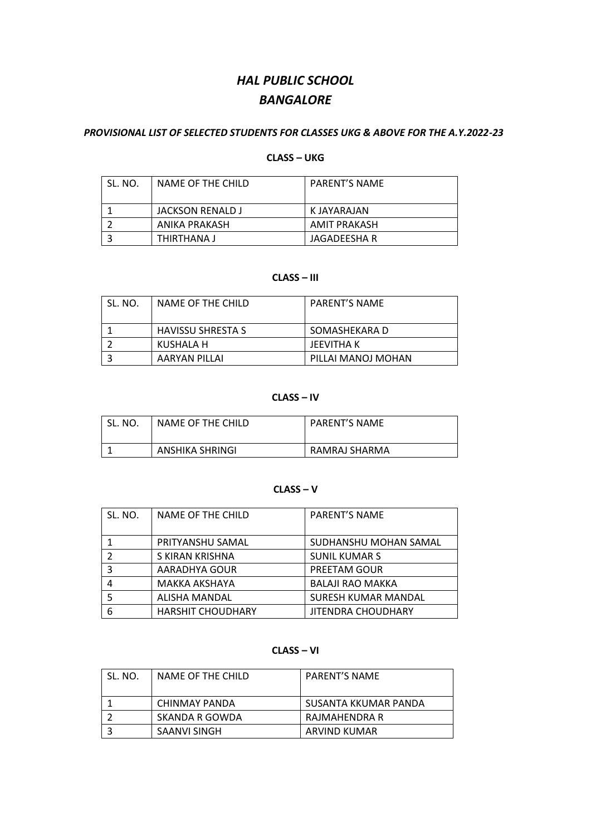# *HAL PUBLIC SCHOOL BANGALORE*

#### *PROVISIONAL LIST OF SELECTED STUDENTS FOR CLASSES UKG & ABOVE FOR THE A.Y.2022-23*

# **CLASS – UKG**

| SL. NO. | NAME OF THE CHILD | <b>PARENT'S NAME</b> |
|---------|-------------------|----------------------|
|         | JACKSON RENALD J  | K JAYARAJAN          |
|         | ANIKA PRAKASH     | AMIT PRAKASH         |
|         | THIRTHANA J       | JAGADEESHA R         |

# **CLASS – III**

| SL. NO. | NAME OF THE CHILD        | <b>PARENT'S NAME</b> |
|---------|--------------------------|----------------------|
|         | <b>HAVISSU SHRESTA S</b> | SOMASHEKARA D        |
|         | KUSHALA H                | JEEVITHA K           |
|         | AARYAN PILLAI            | PILLAI MANOJ MOHAN   |

### **CLASS – IV**

| SL.<br>NO. | NAME OF THE CHILD | <b>PARENT'S NAME</b> |
|------------|-------------------|----------------------|
|            | ANSHIKA SHRINGI   | RAMRAJ SHARMA        |

#### **CLASS – V**

| SL. NO. | NAME OF THE CHILD        | PARENT'S NAME              |
|---------|--------------------------|----------------------------|
|         | PRITYANSHU SAMAL         | SUDHANSHU MOHAN SAMAL      |
| C       | S KIRAN KRISHNA          | <b>SUNIL KUMAR S</b>       |
| 3       | AARADHYA GOUR            | PREETAM GOUR               |
| 4       | <b>MAKKA AKSHAYA</b>     | <b>BALAJI RAO MAKKA</b>    |
|         | <b>ALISHA MANDAL</b>     | <b>SURESH KUMAR MANDAL</b> |
| 6       | <b>HARSHIT CHOUDHARY</b> | <b>JITENDRA CHOUDHARY</b>  |

# **CLASS – VI**

| SL. NO. | NAME OF THE CHILD | <b>PARENT'S NAME</b> |
|---------|-------------------|----------------------|
|         | CHINMAY PANDA     | SUSANTA KKUMAR PANDA |
|         | SKANDA R GOWDA    | RAJMAHENDRA R        |
|         | SAANVI SINGH      | ARVIND KUMAR         |